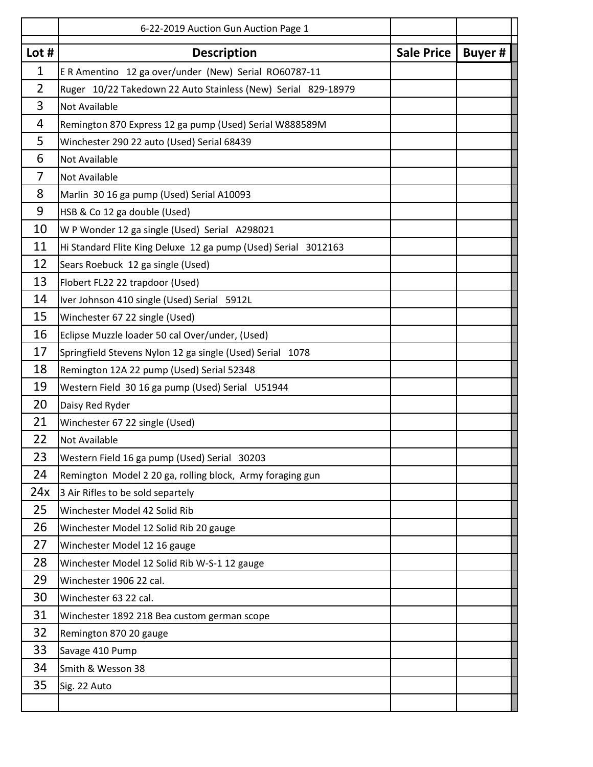|                | 6-22-2019 Auction Gun Auction Page 1                           |            |         |
|----------------|----------------------------------------------------------------|------------|---------|
| Lot $#$        | <b>Description</b>                                             | Sale Price | Buyer # |
| 1              | E R Amentino 12 ga over/under (New) Serial RO60787-11          |            |         |
| $\overline{2}$ | Ruger 10/22 Takedown 22 Auto Stainless (New) Serial 829-18979  |            |         |
| 3              | Not Available                                                  |            |         |
| 4              | Remington 870 Express 12 ga pump (Used) Serial W888589M        |            |         |
| 5              | Winchester 290 22 auto (Used) Serial 68439                     |            |         |
| 6              | <b>Not Available</b>                                           |            |         |
| 7              | <b>Not Available</b>                                           |            |         |
| 8              | Marlin 30 16 ga pump (Used) Serial A10093                      |            |         |
| 9              | HSB & Co 12 ga double (Used)                                   |            |         |
| 10             | W P Wonder 12 ga single (Used) Serial A298021                  |            |         |
| 11             | Hi Standard Flite King Deluxe 12 ga pump (Used) Serial 3012163 |            |         |
| 12             | Sears Roebuck 12 ga single (Used)                              |            |         |
| 13             | Flobert FL22 22 trapdoor (Used)                                |            |         |
| 14             | Iver Johnson 410 single (Used) Serial 5912L                    |            |         |
| 15             | Winchester 67 22 single (Used)                                 |            |         |
| 16             | Eclipse Muzzle loader 50 cal Over/under, (Used)                |            |         |
| 17             | Springfield Stevens Nylon 12 ga single (Used) Serial 1078      |            |         |
| 18             | Remington 12A 22 pump (Used) Serial 52348                      |            |         |
| 19             | Western Field 30 16 ga pump (Used) Serial U51944               |            |         |
| 20             | Daisy Red Ryder                                                |            |         |
| 21             | Winchester 67 22 single (Used)                                 |            |         |
| 22             | <b>Not Available</b>                                           |            |         |
| 23             | Western Field 16 ga pump (Used) Serial 30203                   |            |         |
| 24             | Remington Model 2 20 ga, rolling block, Army foraging gun      |            |         |
| 24x            | 3 Air Rifles to be sold separtely                              |            |         |
| 25             | Winchester Model 42 Solid Rib                                  |            |         |
| 26             | Winchester Model 12 Solid Rib 20 gauge                         |            |         |
| 27             | Winchester Model 12 16 gauge                                   |            |         |
| 28             | Winchester Model 12 Solid Rib W-S-1 12 gauge                   |            |         |
| 29             | Winchester 1906 22 cal.                                        |            |         |
| 30             | Winchester 63 22 cal.                                          |            |         |
| 31             | Winchester 1892 218 Bea custom german scope                    |            |         |
| 32             | Remington 870 20 gauge                                         |            |         |
| 33             | Savage 410 Pump                                                |            |         |
| 34             | Smith & Wesson 38                                              |            |         |
| 35             | Sig. 22 Auto                                                   |            |         |
|                |                                                                |            |         |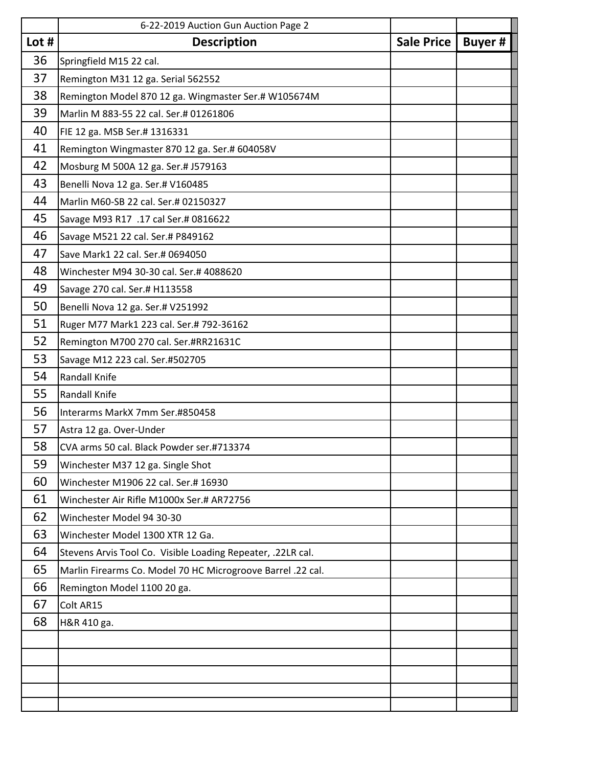|         | 6-22-2019 Auction Gun Auction Page 2                        |  |               |
|---------|-------------------------------------------------------------|--|---------------|
| Lot $#$ | <b>Description</b>                                          |  | <b>Buyer#</b> |
| 36      | Springfield M15 22 cal.                                     |  |               |
| 37      | Remington M31 12 ga. Serial 562552                          |  |               |
| 38      | Remington Model 870 12 ga. Wingmaster Ser.# W105674M        |  |               |
| 39      | Marlin M 883-55 22 cal. Ser.# 01261806                      |  |               |
| 40      | FIE 12 ga. MSB Ser.# 1316331                                |  |               |
| 41      | Remington Wingmaster 870 12 ga. Ser.# 604058V               |  |               |
| 42      | Mosburg M 500A 12 ga. Ser.# J579163                         |  |               |
| 43      | Benelli Nova 12 ga. Ser.# V160485                           |  |               |
| 44      | Marlin M60-SB 22 cal. Ser.# 02150327                        |  |               |
| 45      | Savage M93 R17 .17 cal Ser.# 0816622                        |  |               |
| 46      | Savage M521 22 cal. Ser.# P849162                           |  |               |
| 47      | Save Mark1 22 cal. Ser.# 0694050                            |  |               |
| 48      | Winchester M94 30-30 cal. Ser.# 4088620                     |  |               |
| 49      | Savage 270 cal. Ser.# H113558                               |  |               |
| 50      | Benelli Nova 12 ga. Ser.# V251992                           |  |               |
| 51      | Ruger M77 Mark1 223 cal. Ser.# 792-36162                    |  |               |
| 52      | Remington M700 270 cal. Ser.#RR21631C                       |  |               |
| 53      | Savage M12 223 cal. Ser.#502705                             |  |               |
| 54      | Randall Knife                                               |  |               |
| 55      | Randall Knife                                               |  |               |
| 56      | Interarms MarkX 7mm Ser.#850458                             |  |               |
| 57      | Astra 12 ga. Over-Under                                     |  |               |
| 58      | CVA arms 50 cal. Black Powder ser.#713374                   |  |               |
| 59      | Winchester M37 12 ga. Single Shot                           |  |               |
| 60      | Winchester M1906 22 cal. Ser.# 16930                        |  |               |
| 61      | Winchester Air Rifle M1000x Ser.# AR72756                   |  |               |
| 62      | Winchester Model 94 30-30                                   |  |               |
| 63      | Winchester Model 1300 XTR 12 Ga.                            |  |               |
| 64      | Stevens Arvis Tool Co. Visible Loading Repeater, .22LR cal. |  |               |
| 65      | Marlin Firearms Co. Model 70 HC Microgroove Barrel .22 cal. |  |               |
| 66      | Remington Model 1100 20 ga.                                 |  |               |
| 67      | Colt AR15                                                   |  |               |
| 68      | H&R 410 ga.                                                 |  |               |
|         |                                                             |  |               |
|         |                                                             |  |               |
|         |                                                             |  |               |
|         |                                                             |  |               |
|         |                                                             |  |               |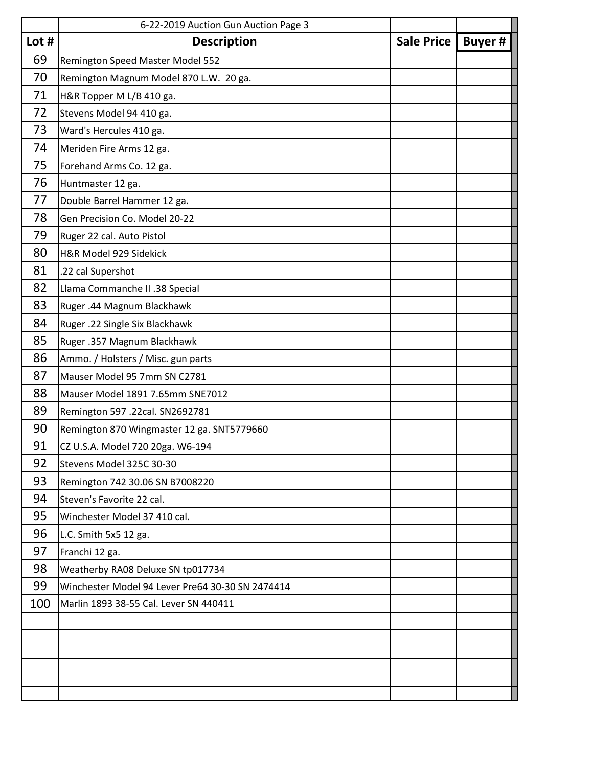|         | 6-22-2019 Auction Gun Auction Page 3             |  |               |
|---------|--------------------------------------------------|--|---------------|
| Lot $#$ | <b>Description</b>                               |  | <b>Buyer#</b> |
| 69      | Remington Speed Master Model 552                 |  |               |
| 70      | Remington Magnum Model 870 L.W. 20 ga.           |  |               |
| 71      | H&R Topper M L/B 410 ga.                         |  |               |
| 72      | Stevens Model 94 410 ga.                         |  |               |
| 73      | Ward's Hercules 410 ga.                          |  |               |
| 74      | Meriden Fire Arms 12 ga.                         |  |               |
| 75      | Forehand Arms Co. 12 ga.                         |  |               |
| 76      | Huntmaster 12 ga.                                |  |               |
| 77      | Double Barrel Hammer 12 ga.                      |  |               |
| 78      | Gen Precision Co. Model 20-22                    |  |               |
| 79      | Ruger 22 cal. Auto Pistol                        |  |               |
| 80      | H&R Model 929 Sidekick                           |  |               |
| 81      | .22 cal Supershot                                |  |               |
| 82      | Llama Commanche II .38 Special                   |  |               |
| 83      | Ruger .44 Magnum Blackhawk                       |  |               |
| 84      | Ruger .22 Single Six Blackhawk                   |  |               |
| 85      | Ruger .357 Magnum Blackhawk                      |  |               |
| 86      | Ammo. / Holsters / Misc. gun parts               |  |               |
| 87      | Mauser Model 95 7mm SN C2781                     |  |               |
| 88      | Mauser Model 1891 7.65mm SNE7012                 |  |               |
| 89      | Remington 597 .22cal. SN2692781                  |  |               |
| 90      | Remington 870 Wingmaster 12 ga. SNT5779660       |  |               |
| 91      | CZ U.S.A. Model 720 20ga. W6-194                 |  |               |
| 92      | Stevens Model 325C 30-30                         |  |               |
| 93      | Remington 742 30.06 SN B7008220                  |  |               |
| 94      | Steven's Favorite 22 cal.                        |  |               |
| 95      | Winchester Model 37 410 cal.                     |  |               |
| 96      | L.C. Smith 5x5 12 ga.                            |  |               |
| 97      | Franchi 12 ga.                                   |  |               |
| 98      | Weatherby RA08 Deluxe SN tp017734                |  |               |
| 99      | Winchester Model 94 Lever Pre64 30-30 SN 2474414 |  |               |
| 100     | Marlin 1893 38-55 Cal. Lever SN 440411           |  |               |
|         |                                                  |  |               |
|         |                                                  |  |               |
|         |                                                  |  |               |
|         |                                                  |  |               |
|         |                                                  |  |               |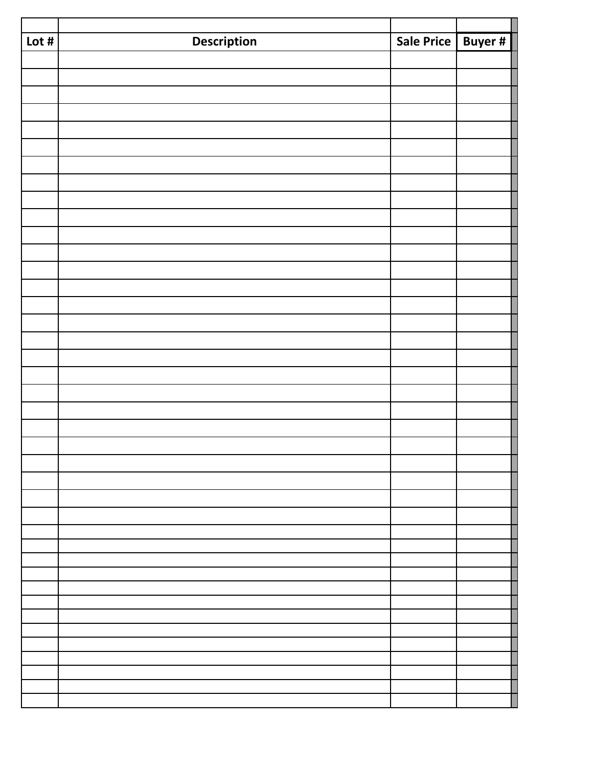| Lot $#$ | <b>Description</b> | Sale Price Buyer # |  |
|---------|--------------------|--------------------|--|
|         |                    |                    |  |
|         |                    |                    |  |
|         |                    |                    |  |
|         |                    |                    |  |
|         |                    |                    |  |
|         |                    |                    |  |
|         |                    |                    |  |
|         |                    |                    |  |
|         |                    |                    |  |
|         |                    |                    |  |
|         |                    |                    |  |
|         |                    |                    |  |
|         |                    |                    |  |
|         |                    |                    |  |
|         |                    |                    |  |
|         |                    |                    |  |
|         |                    |                    |  |
|         |                    |                    |  |
|         |                    |                    |  |
|         |                    |                    |  |
|         |                    |                    |  |
|         |                    |                    |  |
|         |                    |                    |  |
|         |                    |                    |  |
|         |                    |                    |  |
|         |                    |                    |  |
|         |                    |                    |  |
|         |                    |                    |  |
|         |                    |                    |  |
|         |                    |                    |  |
|         |                    |                    |  |
|         |                    |                    |  |
|         |                    |                    |  |
|         |                    |                    |  |
|         |                    |                    |  |
|         |                    |                    |  |
|         |                    |                    |  |
|         |                    |                    |  |
|         |                    |                    |  |
|         |                    |                    |  |
|         |                    |                    |  |
|         |                    |                    |  |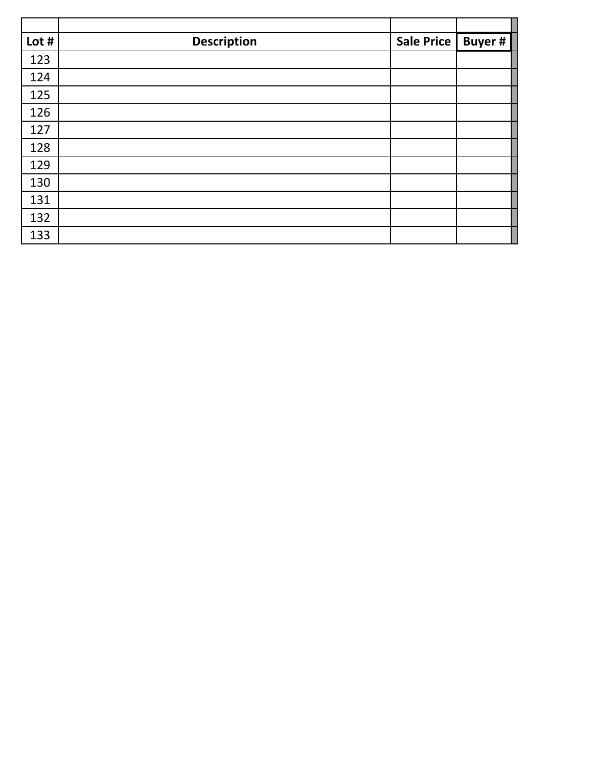| Lot # | <b>Description</b> | Sale Price | <b>Buyer#</b> |
|-------|--------------------|------------|---------------|
| 123   |                    |            |               |
| 124   |                    |            |               |
| 125   |                    |            |               |
| 126   |                    |            |               |
| 127   |                    |            |               |
| 128   |                    |            |               |
| 129   |                    |            |               |
| 130   |                    |            |               |
| 131   |                    |            |               |
| 132   |                    |            |               |
| 133   |                    |            |               |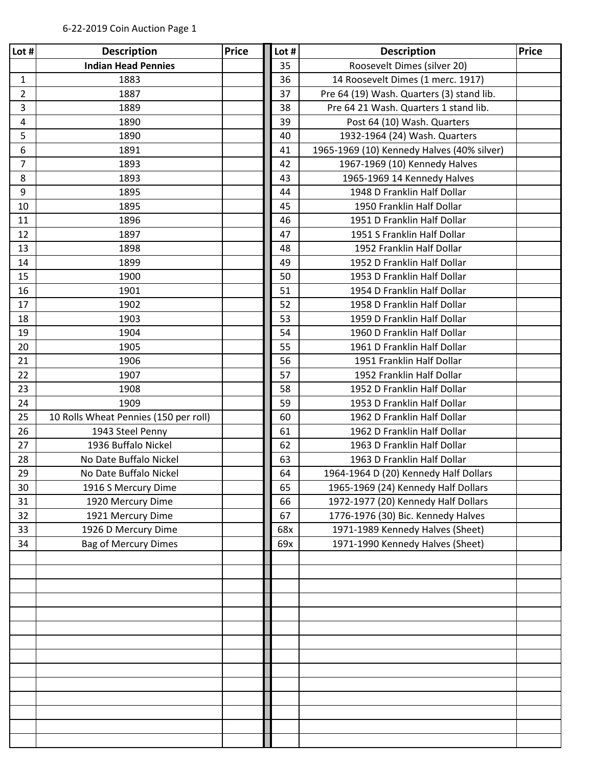| Lot #          | <b>Description</b>                    | <b>Price</b> | Lot # | <b>Description</b>                         | <b>Price</b> |
|----------------|---------------------------------------|--------------|-------|--------------------------------------------|--------------|
|                | <b>Indian Head Pennies</b>            |              | 35    | Roosevelt Dimes (silver 20)                |              |
| 1              | 1883                                  |              | 36    | 14 Roosevelt Dimes (1 merc. 1917)          |              |
| 2              | 1887                                  |              | 37    | Pre 64 (19) Wash. Quarters (3) stand lib.  |              |
| 3              | 1889                                  |              | 38    | Pre 64 21 Wash. Quarters 1 stand lib.      |              |
| 4              | 1890                                  |              | 39    | Post 64 (10) Wash. Quarters                |              |
| 5              | 1890                                  |              | 40    | 1932-1964 (24) Wash. Quarters              |              |
| 6              | 1891                                  |              | 41    | 1965-1969 (10) Kennedy Halves (40% silver) |              |
| $\overline{7}$ | 1893                                  |              | 42    | 1967-1969 (10) Kennedy Halves              |              |
| 8              | 1893                                  |              | 43    | 1965-1969 14 Kennedy Halves                |              |
| 9              | 1895                                  |              | 44    | 1948 D Franklin Half Dollar                |              |
| 10             | 1895                                  |              | 45    | 1950 Franklin Half Dollar                  |              |
| 11             | 1896                                  |              | 46    | 1951 D Franklin Half Dollar                |              |
| 12             | 1897                                  |              | 47    | 1951 S Franklin Half Dollar                |              |
| 13             | 1898                                  |              | 48    | 1952 Franklin Half Dollar                  |              |
| 14             | 1899                                  |              | 49    | 1952 D Franklin Half Dollar                |              |
| 15             | 1900                                  |              | 50    | 1953 D Franklin Half Dollar                |              |
| 16             | 1901                                  |              | 51    | 1954 D Franklin Half Dollar                |              |
| 17             | 1902                                  |              | 52    | 1958 D Franklin Half Dollar                |              |
| 18             | 1903                                  |              | 53    | 1959 D Franklin Half Dollar                |              |
| 19             | 1904                                  |              | 54    | 1960 D Franklin Half Dollar                |              |
| 20             | 1905                                  |              | 55    | 1961 D Franklin Half Dollar                |              |
| 21             | 1906                                  |              | 56    | 1951 Franklin Half Dollar                  |              |
| 22             | 1907                                  |              | 57    | 1952 Franklin Half Dollar                  |              |
| 23             | 1908                                  |              | 58    | 1952 D Franklin Half Dollar                |              |
| 24             | 1909                                  |              | 59    | 1953 D Franklin Half Dollar                |              |
| 25             | 10 Rolls Wheat Pennies (150 per roll) |              | 60    | 1962 D Franklin Half Dollar                |              |
| 26             | 1943 Steel Penny                      |              | 61    | 1962 D Franklin Half Dollar                |              |
| 27             | 1936 Buffalo Nickel                   |              | 62    | 1963 D Franklin Half Dollar                |              |
| 28             | No Date Buffalo Nickel                |              | 63    | 1963 D Franklin Half Dollar                |              |
| 29             | No Date Buffalo Nickel                |              | 64    | 1964-1964 D (20) Kennedy Half Dollars      |              |
| 30             | 1916 S Mercury Dime                   |              | 65    | 1965-1969 (24) Kennedy Half Dollars        |              |
| 31             | 1920 Mercury Dime                     |              | 66    | 1972-1977 (20) Kennedy Half Dollars        |              |
| 32             | 1921 Mercury Dime                     |              | 67    | 1776-1976 (30) Bic. Kennedy Halves         |              |
| 33             | 1926 D Mercury Dime                   |              | 68x   | 1971-1989 Kennedy Halves (Sheet)           |              |
| 34             | <b>Bag of Mercury Dimes</b>           |              | 69x   | 1971-1990 Kennedy Halves (Sheet)           |              |
|                |                                       |              |       |                                            |              |
|                |                                       |              |       |                                            |              |
|                |                                       |              |       |                                            |              |
|                |                                       |              |       |                                            |              |
|                |                                       |              |       |                                            |              |
|                |                                       |              |       |                                            |              |
|                |                                       |              |       |                                            |              |
|                |                                       |              |       |                                            |              |
|                |                                       |              |       |                                            |              |
|                |                                       |              |       |                                            |              |
|                |                                       |              |       |                                            |              |
|                |                                       |              |       |                                            |              |
|                |                                       |              |       |                                            |              |
|                |                                       |              |       |                                            |              |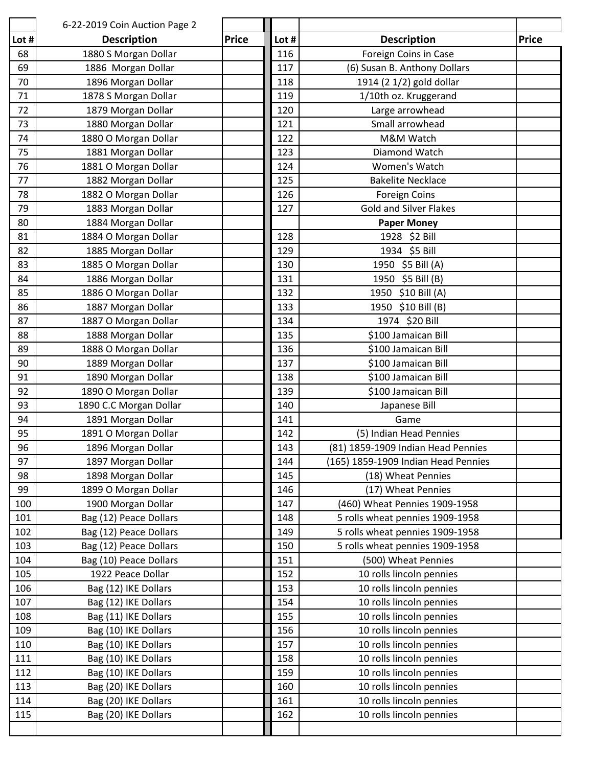|            | 6-22-2019 Coin Auction Page 2                |              |            |                                                      |              |
|------------|----------------------------------------------|--------------|------------|------------------------------------------------------|--------------|
| Lot #      | <b>Description</b>                           | <b>Price</b> | Lot #      | <b>Description</b>                                   | <b>Price</b> |
| 68         | 1880 S Morgan Dollar                         |              | 116        | Foreign Coins in Case                                |              |
| 69         | 1886 Morgan Dollar                           |              | 117        | (6) Susan B. Anthony Dollars                         |              |
| 70         | 1896 Morgan Dollar                           |              | 118        | 1914 (2 1/2) gold dollar                             |              |
| 71         | 1878 S Morgan Dollar                         |              | 119        | 1/10th oz. Kruggerand                                |              |
| 72         | 1879 Morgan Dollar                           |              | 120        | Large arrowhead                                      |              |
| 73         | 1880 Morgan Dollar                           |              | 121        | Small arrowhead                                      |              |
| 74         | 1880 O Morgan Dollar                         |              | 122        | M&M Watch                                            |              |
| 75         | 1881 Morgan Dollar                           |              | 123        | Diamond Watch                                        |              |
| 76         | 1881 O Morgan Dollar                         |              | 124        | Women's Watch                                        |              |
| 77         | 1882 Morgan Dollar                           |              | 125        | <b>Bakelite Necklace</b>                             |              |
| 78         | 1882 O Morgan Dollar                         |              | 126        | <b>Foreign Coins</b>                                 |              |
| 79         | 1883 Morgan Dollar                           |              | 127        | <b>Gold and Silver Flakes</b>                        |              |
| 80         | 1884 Morgan Dollar                           |              |            | <b>Paper Money</b>                                   |              |
| 81         | 1884 O Morgan Dollar                         |              | 128        | 1928 \$2 Bill                                        |              |
| 82         | 1885 Morgan Dollar                           |              | 129        | 1934 \$5 Bill                                        |              |
| 83         | 1885 O Morgan Dollar                         |              | 130        | 1950 \$5 Bill (A)                                    |              |
| 84         | 1886 Morgan Dollar                           |              | 131        | 1950 \$5 Bill (B)                                    |              |
| 85         | 1886 O Morgan Dollar                         |              | 132        | 1950 \$10 Bill (A)                                   |              |
| 86         | 1887 Morgan Dollar                           |              | 133        | 1950 \$10 Bill (B)                                   |              |
| 87         | 1887 O Morgan Dollar                         |              | 134        | 1974 \$20 Bill                                       |              |
| 88         | 1888 Morgan Dollar                           |              | 135        | \$100 Jamaican Bill                                  |              |
| 89         | 1888 O Morgan Dollar                         |              | 136        | \$100 Jamaican Bill                                  |              |
| 90         | 1889 Morgan Dollar                           |              | 137        | \$100 Jamaican Bill                                  |              |
| 91         | 1890 Morgan Dollar                           |              | 138        | \$100 Jamaican Bill                                  |              |
| 92         | 1890 O Morgan Dollar                         |              | 139        | \$100 Jamaican Bill                                  |              |
| 93         | 1890 C.C Morgan Dollar                       |              | 140        | Japanese Bill                                        |              |
| 94         | 1891 Morgan Dollar                           |              | 141        | Game                                                 |              |
| 95         | 1891 O Morgan Dollar                         |              | 142        | (5) Indian Head Pennies                              |              |
| 96         | 1896 Morgan Dollar                           |              | 143        | (81) 1859-1909 Indian Head Pennies                   |              |
| 97         | 1897 Morgan Dollar                           |              | 144        | (165) 1859-1909 Indian Head Pennies                  |              |
| 98         | 1898 Morgan Dollar                           |              | 145        | (18) Wheat Pennies                                   |              |
| 99         | 1899 O Morgan Dollar                         |              | 146        | (17) Wheat Pennies                                   |              |
| 100        | 1900 Morgan Dollar                           |              | 147        | (460) Wheat Pennies 1909-1958                        |              |
| 101        | Bag (12) Peace Dollars                       |              | 148        | 5 rolls wheat pennies 1909-1958                      |              |
| 102        | Bag (12) Peace Dollars                       |              | 149        | 5 rolls wheat pennies 1909-1958                      |              |
| 103        | Bag (12) Peace Dollars                       |              | 150        | 5 rolls wheat pennies 1909-1958                      |              |
| 104        | Bag (10) Peace Dollars                       |              | 151        | (500) Wheat Pennies                                  |              |
| 105        | 1922 Peace Dollar                            |              | 152        | 10 rolls lincoln pennies                             |              |
| 106        | Bag (12) IKE Dollars                         |              | 153        | 10 rolls lincoln pennies                             |              |
| 107        | Bag (12) IKE Dollars                         |              | 154        | 10 rolls lincoln pennies                             |              |
| 108        | Bag (11) IKE Dollars                         |              | 155        | 10 rolls lincoln pennies                             |              |
| 109<br>110 | Bag (10) IKE Dollars<br>Bag (10) IKE Dollars |              | 156<br>157 | 10 rolls lincoln pennies<br>10 rolls lincoln pennies |              |
|            |                                              |              |            |                                                      |              |
| 111<br>112 | Bag (10) IKE Dollars                         |              | 158<br>159 | 10 rolls lincoln pennies<br>10 rolls lincoln pennies |              |
| 113        | Bag (10) IKE Dollars<br>Bag (20) IKE Dollars |              | 160        | 10 rolls lincoln pennies                             |              |
| 114        | Bag (20) IKE Dollars                         |              | 161        | 10 rolls lincoln pennies                             |              |
| 115        | Bag (20) IKE Dollars                         |              | 162        | 10 rolls lincoln pennies                             |              |
|            |                                              |              |            |                                                      |              |